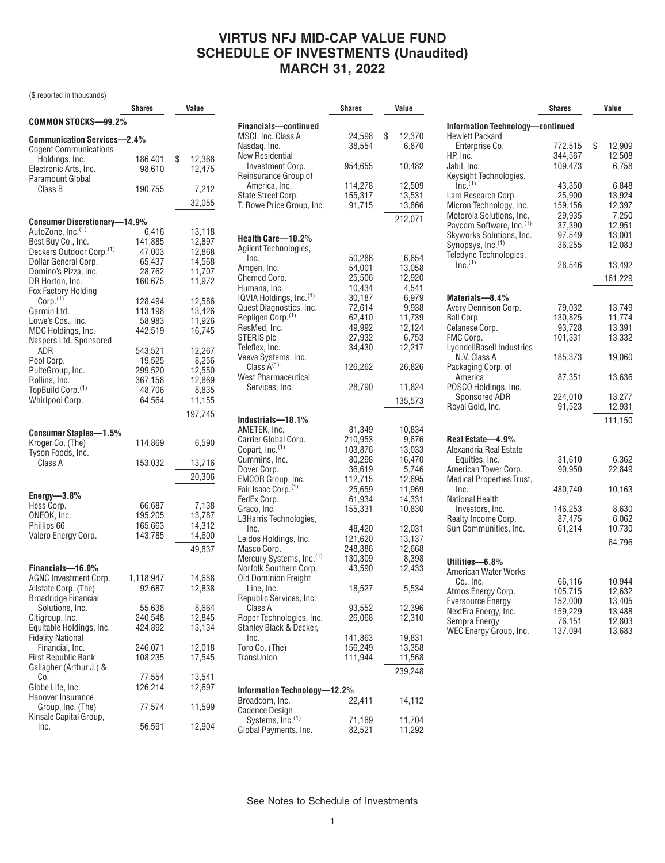### **VIRTUS NFJ MID-CAP VALUE FUND SCHEDULE OF INVESTMENTS (Unaudited) MARCH 31, 2022**

(\$ reported in thousands)

|                                                | Shares             | Value            |
|------------------------------------------------|--------------------|------------------|
| COMMON STOCKS—99.2%                            |                    |                  |
|                                                |                    |                  |
| <b>Communication Services-2.4%</b>             |                    |                  |
| <b>Cogent Communications</b><br>Holdings, Inc. | 186,401            | \$<br>12,368     |
| Electronic Arts, Inc.                          | 98,610             | 12.475           |
| <b>Paramount Global</b>                        |                    |                  |
| Class B                                        | 190,755            | 7,212            |
|                                                |                    |                  |
|                                                |                    | 32,055           |
| <b>Consumer Discretionary-14.9%</b>            |                    |                  |
| AutoZone, Inc. <sup>(1)</sup>                  | 6,416              | 13,118           |
| Best Buy Co., Inc.                             | 141,885            | 12,897           |
| Deckers Outdoor Corp. <sup>(1)</sup>           | 47,003             | 12,868           |
| Dollar General Corp.                           | 65,437             | 14,568           |
| Domino's Pizza, Inc.                           | 28,762             | 11,707           |
| DR Horton, Inc.                                | 160,675            | 11,972           |
| Fox Factory Holding                            |                    |                  |
| Corp. <sup>(1)</sup>                           | 128,494            | 12,586           |
| Garmin Ltd.                                    | 113,198            | 13,426           |
| Lowe's Cos., Inc.<br>MDC Holdings, Inc.        | 58,983<br>442,519  | 11,926<br>16.745 |
| Naspers Ltd. Sponsored                         |                    |                  |
| ADR                                            | 543,521            | 12,267           |
| Pool Corp.                                     | 19,525             | 8,256            |
| PulteGroup, Inc.                               | 299,520            | 12,550           |
| Rollins, Inc.                                  | 367,158            | 12,869           |
| TopBuild Corp. <sup>(1)</sup>                  | 48,706             | 8,835            |
| Whirlpool Corp.                                | 64,564             | 11,155           |
|                                                |                    | 197.745          |
|                                                |                    |                  |
| Consumer Staples—1.5%                          |                    |                  |
| Kroger Co. (The)                               | 114,869            | 6,590            |
| Tyson Foods, Inc.                              |                    |                  |
| Class A                                        | 153,032            | 13,716           |
|                                                |                    | 20,306           |
|                                                |                    |                  |
| Energy— $3.8\%$                                |                    |                  |
| Hess Corp.                                     | 66,687             | 7,138            |
| ONEOK, Inc.<br>Phillips 66                     | 195,205<br>165,663 | 13,787<br>14,312 |
| Valero Energy Corp.                            | 143,785            | 14,600           |
|                                                |                    |                  |
|                                                |                    | 49,837           |
| Financials-16.0%                               |                    |                  |
| AGNC Investment Corp.                          | 1,118,947          | 14,658           |
| Allstate Corp. (The)                           | 92,687             | 12,838           |
| <b>Broadridge Financial</b>                    |                    |                  |
| Solutions, Inc.                                | 55,638             | 8,664            |
| Citigroup, Inc.                                | 240,548            | 12,845           |
| Equitable Holdings, Inc.                       | 424,892            | 13,134           |
| <b>Fidelity National</b>                       |                    |                  |
| Financial, Inc.                                | 246,071            | 12,018           |
| First Republic Bank                            | 108,235            | 17,545           |
| Gallagher (Arthur J.) &                        |                    |                  |
| Co.<br>Globe Life, Inc.                        | 77,554<br>126,214  | 13,541<br>12,697 |
| Hanover Insurance                              |                    |                  |
| Group, Inc. (The)                              | 77,574             | 11,599           |
| Kinsale Capital Group,                         |                    |                  |
| Inc.                                           | 56,591             | 12,904           |

|                                     | <b>Shares</b> | Value        |
|-------------------------------------|---------------|--------------|
|                                     |               |              |
| Financials-continued                |               |              |
| MSCI, Inc. Class A                  | 24,598        | \$<br>12,370 |
| Nasdaq, Inc.                        | 38,554        | 6.870        |
| New Residential                     |               |              |
| Investment Corp.                    | 954,655       | 10,482       |
| Reinsurance Group of                |               |              |
| America, Inc.                       | 114.278       | 12,509       |
| State Street Corp.                  | 155,317       | 13,531       |
| T. Rowe Price Group, Inc.           | 91,715        | 13,866       |
|                                     |               |              |
|                                     |               | 212,071      |
| Health Care-10.2%                   |               |              |
| Agilent Technologies,               |               |              |
|                                     |               |              |
| Inc.                                | 50,286        | 6,654        |
| Amgen, Inc.                         | 54,001        | 13,058       |
| Chemed Corp.                        | 25,506        | 12,920       |
| Humana, Inc.                        | 10,434        | 4,541        |
| IQVIA Holdings, Inc. <sup>(1)</sup> | 30,187        | 6,979        |
| Quest Diagnostics, Inc.             | 72,614        | 9,938        |
| Repligen Corp. <sup>(1)</sup>       | 62,410        | 11,739       |
| ResMed, Inc.                        | 49,992        | 12,124       |
| STERIS plc                          | 27,932        | 6,753        |
| Teleflex, Inc.                      | 34,430        | 12,217       |
| Veeva Systems, Inc.                 |               |              |
| Class $A^{(1)}$                     | 126,262       | 26,826       |
| <b>West Pharmaceutical</b>          |               |              |
| Services, Inc.                      | 28,790        | 11,824       |
|                                     |               |              |
|                                     |               | 135,573      |
|                                     |               |              |
| Industrials-18.1%                   |               |              |
| AMETEK, Inc.                        | 81,349        | 10,834       |
| Carrier Global Corp.                | 210,953       | 9,676        |
| Copart, Inc. <sup>(1)</sup>         | 103,876       | 13,033       |
| Cummins, Inc.                       | 80,298        | 16,470       |
| Dover Corp.                         | 36,619        | 5,746        |
| EMCOR Group, Inc.                   | 112,715       | 12,695       |
| Fair Isaac Corp. <sup>(1)</sup>     | 25,659        | 11,969       |
| FedEx Corp.                         | 61,934        | 14,331       |
| Graco, Inc.                         | 155,331       | 10,830       |
| L3Harris Technologies,              |               |              |
| Inc.                                | 48,420        | 12,031       |
| Leidos Holdings, Inc.               | 121,620       | 13,137       |
|                                     | 248,386       |              |
| Masco Corp.                         |               | 12,668       |
| Mercury Systems, Inc.(1)            | 130,309       | 8,398        |
| Norfolk Southern Corp.              | 43,590        | 12,433       |
| Old Dominion Freight                |               |              |
| Line, Inc.                          | 18,527        | 5,534        |
| Republic Services, Inc.             |               |              |
| Class A                             | 93,552        | 12,396       |
| Roper Technologies, Inc.            | 26,068        | 12,310       |
| Stanley Black & Decker,             |               |              |
| Inc.                                | 141,863       | 19,831       |
| Toro Co. (The)                      | 156,249       | 13,358       |
| TransUnion                          | 111,944       | 11,568       |
|                                     |               | 239,248      |
|                                     |               |              |
| Information Technology-12.2%        |               |              |
| Broadcom, Inc.                      | 22,411        | 14,112       |
| <b>Cadence Design</b>               |               |              |
| Systems, Inc. <sup>(1)</sup>        | 71,169        | 11,704       |
| Global Payments, Inc.               | 82,521        | 11,292       |
|                                     |               |              |

|                                                          | <b>Shares</b>     | Value           |
|----------------------------------------------------------|-------------------|-----------------|
| Information Technology-continued                         |                   |                 |
| <b>Hewlett Packard</b><br>Enterprise Co.                 | 772,515           | \$<br>12,909    |
| HP, Inc.                                                 | 344,567           | 12,508          |
| Jabil, Inc.                                              | 109,473           | 6,758           |
| Keysight Technologies,                                   |                   |                 |
| Inc. <sup>(1)</sup>                                      | 43,350            | 6,848           |
| Lam Research Corp.                                       | 25,900            | 13,924          |
| Micron Technology, Inc.<br>Motorola Solutions, Inc.      | 159,156<br>29,935 | 12,397<br>7,250 |
| Paycom Software, Inc. <sup>(1)</sup>                     | 37,390            | 12,951          |
| Skyworks Solutions, Inc.                                 | 97,549            | 13,001          |
| Synopsys, Inc. <sup>(1)</sup>                            | 36,255            | 12,083          |
| Teledyne Technologies,                                   |                   |                 |
| $Inc^{(1)}$                                              | 28,546            | 13,492          |
|                                                          |                   | 161,229         |
| Materials-8.4%                                           |                   |                 |
| Avery Dennison Corp.                                     | 79,032            | 13,749          |
| Ball Corp.                                               | 130,825           | 11,774          |
| Celanese Corp.                                           | 93,728            | 13,391          |
| FMC Corp.<br>LyondellBasell Industries                   | 101,331           | 13,332          |
| N.V. Class A                                             | 185,373           | 19,060          |
| Packaging Corp. of<br>America                            | 87,351            | 13,636          |
| POSCO Holdings, Inc.                                     |                   |                 |
| Sponsored ADR                                            | 224,010           | 13,277          |
| Royal Gold, Inc.                                         | 91,523            | 12,931          |
|                                                          |                   | 111,150         |
| Real Estate-4.9%                                         |                   |                 |
| Alexandria Real Estate                                   |                   |                 |
| Equities, Inc.                                           | 31,610            | 6,362           |
| American Tower Corp.<br><b>Medical Properties Trust,</b> | 90,950            | 22,849          |
| Inc.                                                     | 480,740           | 10,163          |
| National Health<br>Investors, Inc.                       | 146,253           | 8,630           |
| Realty Income Corp.                                      | 87,475            | 6,062           |
| Sun Communities, Inc.                                    | 61,214            | 10,730          |
|                                                          |                   | 64,796          |
|                                                          |                   |                 |
| Utilities-6.8%<br><b>American Water Works</b>            |                   |                 |
| Co., Inc.                                                | 66,116            | 10,944          |
| Atmos Energy Corp.                                       | 105,715           | 12,632          |
| <b>Eversource Energy</b>                                 | 152,000           | 13,405          |
| NextEra Energy, Inc.                                     | 159,229           | 13,488          |
| Sempra Energy                                            | 76,151            | 12,803          |
| WEC Energy Group, Inc.                                   | 137,094           | 13,683          |
|                                                          |                   |                 |

See Notes to Schedule of Investments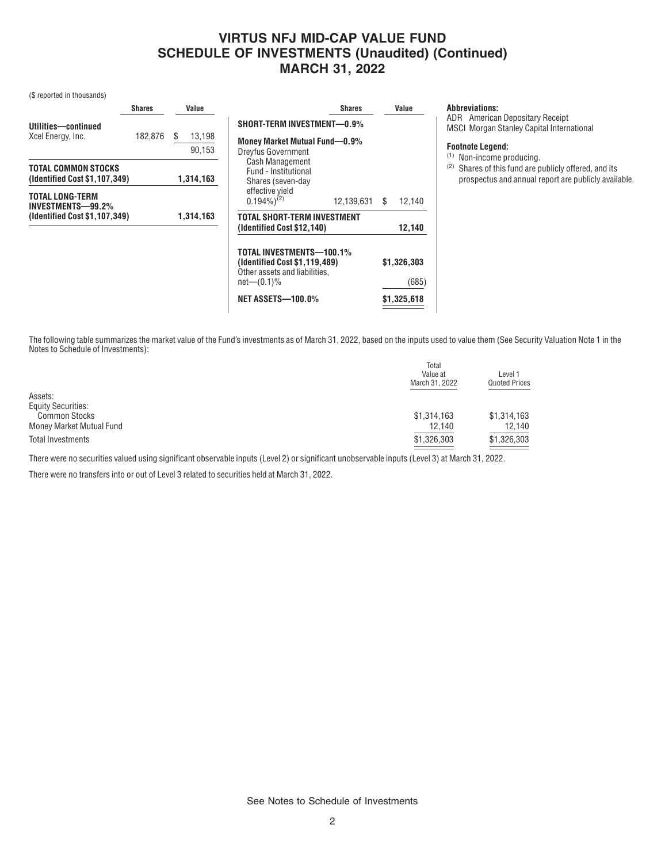# **VIRTUS NFJ MID-CAP VALUE FUND SCHEDULE OF INVESTMENTS (Unaudited) (Continued) MARCH 31, 2022**

**Shares Value**

(\$ reported in thousands)

|                                                                              | <b>Shares</b> | Value                  |                 |
|------------------------------------------------------------------------------|---------------|------------------------|-----------------|
| Utilities-continued<br>Xcel Energy, Inc.                                     | 182,876       | \$<br>13,198<br>90,153 | SΗ<br>Mo<br>Dre |
| <b>TOTAL COMMON STOCKS</b><br>(Identified Cost \$1,107,349)                  |               | 1,314,163              |                 |
| <b>TOTAL LONG-TERM</b><br>INVESTMENTS-99.2%<br>(Identified Cost \$1,107,349) |               | 1.314.163              | Е<br>T0'<br>Id  |

| SHORT-TERM INVESTMENT-0.9%                                                                                 |               |                      |
|------------------------------------------------------------------------------------------------------------|---------------|----------------------|
| Money Market Mutual Fund-0.9%<br><b>Dreyfus Government</b>                                                 |               |                      |
| <b>Cash Management</b><br>Fund - Institutional                                                             |               |                      |
| Shares (seven-day<br>effective vield<br>$0.194\%$ <sup>(2)</sup>                                           | 12,139,631 \$ | 12.140               |
| TOTAL SHORT-TERM INVESTMENT                                                                                |               |                      |
| (Identified Cost \$12,140)                                                                                 |               | 12,140               |
| TOTAL INVESTMENTS-100.1%<br>(Identified Cost \$1,119,489)<br>Other assets and liabilities,<br>$net(0.1)\%$ |               | \$1,326,303<br>(685) |
|                                                                                                            |               |                      |
| <b>NET ASSETS-100.0%</b>                                                                                   |               | \$1,325,618          |

**Abbreviations:**

ADR American Depositary Receipt MSCI Morgan Stanley Capital International

#### **Footnote Legend:**

(1) Non-income producing.

(2) Shares of this fund are publicly offered, and its prospectus and annual report are publicly available.

The following table summarizes the market value of the Fund's investments as of March 31, 2022, based on the inputs used to value them (See Security Valuation Note 1 in the Notes to Schedule of Investments):

|                           | Total<br>Value at<br>March 31, 2022 | Level 1<br><b>Quoted Prices</b> |
|---------------------------|-------------------------------------|---------------------------------|
| Assets:                   |                                     |                                 |
| <b>Equity Securities:</b> |                                     |                                 |
| <b>Common Stocks</b>      | \$1,314,163                         | \$1,314,163                     |
| Money Market Mutual Fund  | 12,140                              | 12,140                          |
| Total Investments         | \$1,326,303                         | \$1,326,303                     |
|                           |                                     |                                 |

There were no securities valued using significant observable inputs (Level 2) or significant unobservable inputs (Level 3) at March 31, 2022.

There were no transfers into or out of Level 3 related to securities held at March 31, 2022.